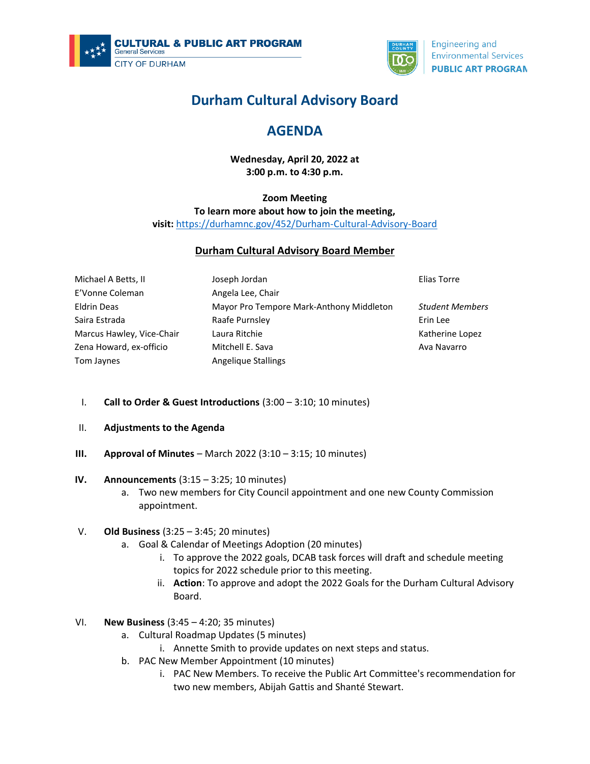



**Engineering and Environmental Services PUBLIC ART PROGRAN** 

# **Durham Cultural Advisory Board**

## **AGENDA**

**Wednesday, April 20, 2022 at 3:00 p.m. to 4:30 p.m.**

### **Zoom Meeting To learn more about how to join the meeting, visit:** <https://durhamnc.gov/452/Durham-Cultural-Advisory-Board>

### **Durham Cultural Advisory Board Member**

| Michael A Betts, II       | Joseph Jordan                            | Elias Torre            |
|---------------------------|------------------------------------------|------------------------|
| E'Vonne Coleman           | Angela Lee, Chair                        |                        |
| <b>Eldrin Deas</b>        | Mayor Pro Tempore Mark-Anthony Middleton | <b>Student Members</b> |
| Saira Estrada             | Raafe Purnsley                           | Erin Lee               |
| Marcus Hawley, Vice-Chair | Laura Ritchie                            | Katherine Lopez        |
| Zena Howard, ex-officio   | Mitchell E. Sava                         | Ava Navarro            |
| Tom Jaynes                | Angelique Stallings                      |                        |

- I. **Call to Order & Guest Introductions** (3:00 3:10; 10 minutes)
- II. **Adjustments to the Agenda**
- **III. Approval of Minutes** March 2022 (3:10 3:15; 10 minutes)
- **IV. Announcements** (3:15 3:25; 10 minutes)
	- a. Two new members for City Council appointment and one new County Commission appointment.

### V. **Old Business** (3:25 – 3:45; 20 minutes)

- a. Goal & Calendar of Meetings Adoption (20 minutes)
	- i. To approve the 2022 goals, DCAB task forces will draft and schedule meeting topics for 2022 schedule prior to this meeting.
	- ii. **Action**: To approve and adopt the 2022 Goals for the Durham Cultural Advisory Board.
- VI. **New Business** (3:45 4:20; 35 minutes)
	- a. Cultural Roadmap Updates (5 minutes)
		- i. Annette Smith to provide updates on next steps and status.
	- b. PAC New Member Appointment (10 minutes)
		- i. PAC New Members. To receive the Public Art Committee's recommendation for two new members, Abijah Gattis and Shanté Stewart.